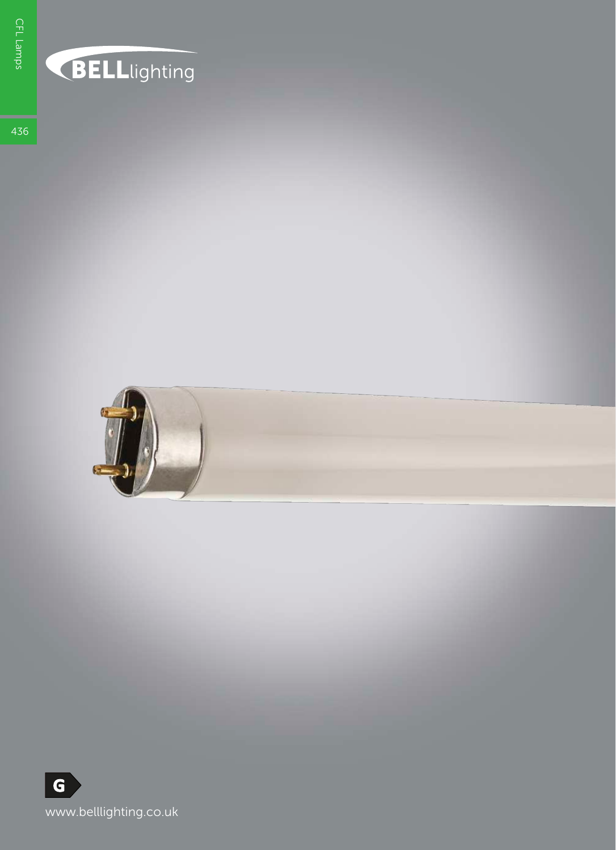## **BELL**lighting

436